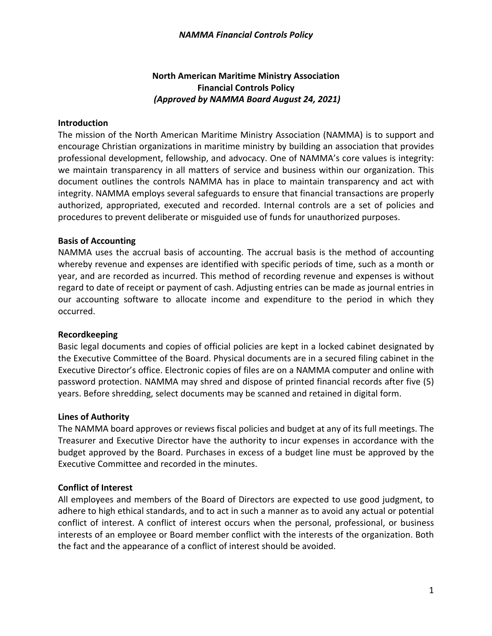# **North American Maritime Ministry Association Financial Controls Policy** *(Approved by NAMMA Board August 24, 2021)*

#### **Introduction**

The mission of the North American Maritime Ministry Association (NAMMA) is to support and encourage Christian organizations in maritime ministry by building an association that provides professional development, fellowship, and advocacy. One of NAMMA's core values is integrity: we maintain transparency in all matters of service and business within our organization. This document outlines the controls NAMMA has in place to maintain transparency and act with integrity. NAMMA employs several safeguards to ensure that financial transactions are properly authorized, appropriated, executed and recorded. Internal controls are a set of policies and procedures to prevent deliberate or misguided use of funds for unauthorized purposes.

#### **Basis of Accounting**

NAMMA uses the accrual basis of accounting. The accrual basis is the method of accounting whereby revenue and expenses are identified with specific periods of time, such as a month or year, and are recorded as incurred. This method of recording revenue and expenses is without regard to date of receipt or payment of cash. Adjusting entries can be made as journal entries in our accounting software to allocate income and expenditure to the period in which they occurred.

#### **Recordkeeping**

Basic legal documents and copies of official policies are kept in a locked cabinet designated by the Executive Committee of the Board. Physical documents are in a secured filing cabinet in the Executive Director's office. Electronic copies of files are on a NAMMA computer and online with password protection. NAMMA may shred and dispose of printed financial records after five (5) years. Before shredding, select documents may be scanned and retained in digital form.

#### **Lines of Authority**

The NAMMA board approves or reviews fiscal policies and budget at any of its full meetings. The Treasurer and Executive Director have the authority to incur expenses in accordance with the budget approved by the Board. Purchases in excess of a budget line must be approved by the Executive Committee and recorded in the minutes.

### **Conflict of Interest**

All employees and members of the Board of Directors are expected to use good judgment, to adhere to high ethical standards, and to act in such a manner as to avoid any actual or potential conflict of interest. A conflict of interest occurs when the personal, professional, or business interests of an employee or Board member conflict with the interests of the organization. Both the fact and the appearance of a conflict of interest should be avoided.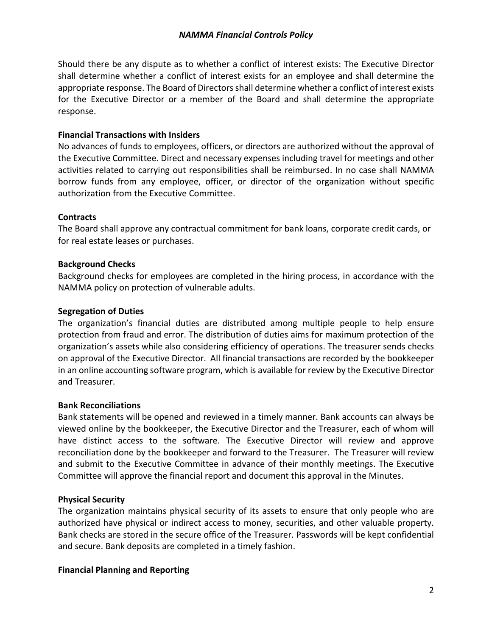Should there be any dispute as to whether a conflict of interest exists: The Executive Director shall determine whether a conflict of interest exists for an employee and shall determine the appropriate response. The Board of Directors shall determine whether a conflict of interest exists for the Executive Director or a member of the Board and shall determine the appropriate response.

# **Financial Transactions with Insiders**

No advances of funds to employees, officers, or directors are authorized without the approval of the Executive Committee. Direct and necessary expenses including travel for meetings and other activities related to carrying out responsibilities shall be reimbursed. In no case shall NAMMA borrow funds from any employee, officer, or director of the organization without specific authorization from the Executive Committee.

# **Contracts**

The Board shall approve any contractual commitment for bank loans, corporate credit cards, or for real estate leases or purchases.

# **Background Checks**

Background checks for employees are completed in the hiring process, in accordance with the NAMMA policy on protection of vulnerable adults.

# **Segregation of Duties**

The organization's financial duties are distributed among multiple people to help ensure protection from fraud and error. The distribution of duties aims for maximum protection of the organization's assets while also considering efficiency of operations. The treasurer sends checks on approval of the Executive Director. All financial transactions are recorded by the bookkeeper in an online accounting software program, which is available for review by the Executive Director and Treasurer.

### **Bank Reconciliations**

Bank statements will be opened and reviewed in a timely manner. Bank accounts can always be viewed online by the bookkeeper, the Executive Director and the Treasurer, each of whom will have distinct access to the software. The Executive Director will review and approve reconciliation done by the bookkeeper and forward to the Treasurer. The Treasurer will review and submit to the Executive Committee in advance of their monthly meetings. The Executive Committee will approve the financial report and document this approval in the Minutes.

# **Physical Security**

The organization maintains physical security of its assets to ensure that only people who are authorized have physical or indirect access to money, securities, and other valuable property. Bank checks are stored in the secure office of the Treasurer. Passwords will be kept confidential and secure. Bank deposits are completed in a timely fashion.

### **Financial Planning and Reporting**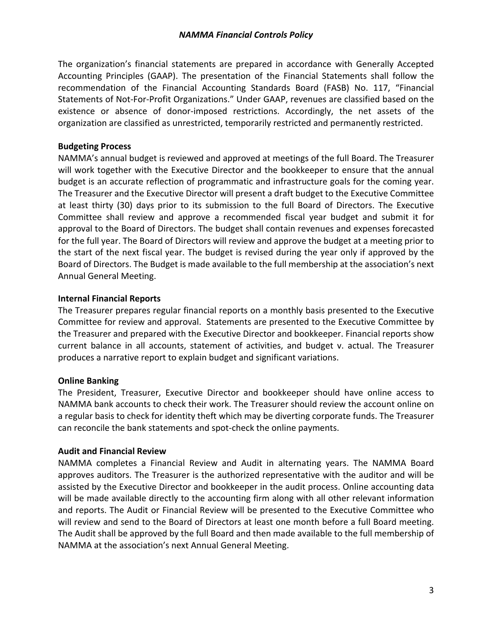The organization's financial statements are prepared in accordance with Generally Accepted Accounting Principles (GAAP). The presentation of the Financial Statements shall follow the recommendation of the Financial Accounting Standards Board (FASB) No. 117, "Financial Statements of Not-For-Profit Organizations." Under GAAP, revenues are classified based on the existence or absence of donor-imposed restrictions. Accordingly, the net assets of the organization are classified as unrestricted, temporarily restricted and permanently restricted.

### **Budgeting Process**

NAMMA's annual budget is reviewed and approved at meetings of the full Board. The Treasurer will work together with the Executive Director and the bookkeeper to ensure that the annual budget is an accurate reflection of programmatic and infrastructure goals for the coming year. The Treasurer and the Executive Director will present a draft budget to the Executive Committee at least thirty (30) days prior to its submission to the full Board of Directors. The Executive Committee shall review and approve a recommended fiscal year budget and submit it for approval to the Board of Directors. The budget shall contain revenues and expenses forecasted for the full year. The Board of Directors will review and approve the budget at a meeting prior to the start of the next fiscal year. The budget is revised during the year only if approved by the Board of Directors. The Budget is made available to the full membership at the association's next Annual General Meeting.

### **Internal Financial Reports**

The Treasurer prepares regular financial reports on a monthly basis presented to the Executive Committee for review and approval. Statements are presented to the Executive Committee by the Treasurer and prepared with the Executive Director and bookkeeper. Financial reports show current balance in all accounts, statement of activities, and budget v. actual. The Treasurer produces a narrative report to explain budget and significant variations.

### **Online Banking**

The President, Treasurer, Executive Director and bookkeeper should have online access to NAMMA bank accounts to check their work. The Treasurer should review the account online on a regular basis to check for identity theft which may be diverting corporate funds. The Treasurer can reconcile the bank statements and spot-check the online payments.

### **Audit and Financial Review**

NAMMA completes a Financial Review and Audit in alternating years. The NAMMA Board approves auditors. The Treasurer is the authorized representative with the auditor and will be assisted by the Executive Director and bookkeeper in the audit process. Online accounting data will be made available directly to the accounting firm along with all other relevant information and reports. The Audit or Financial Review will be presented to the Executive Committee who will review and send to the Board of Directors at least one month before a full Board meeting. The Audit shall be approved by the full Board and then made available to the full membership of NAMMA at the association's next Annual General Meeting.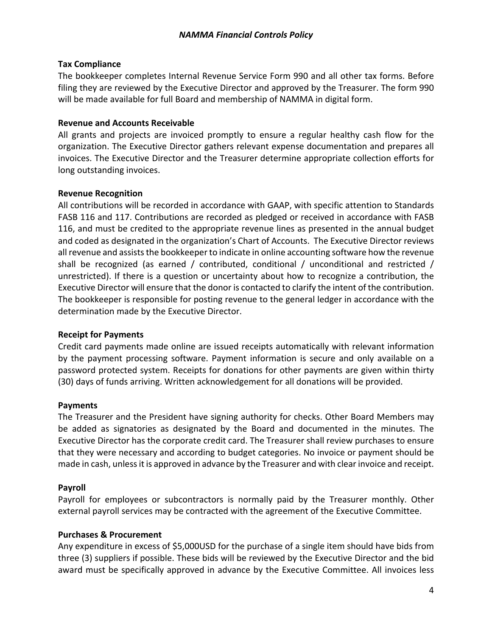# **Tax Compliance**

The bookkeeper completes Internal Revenue Service Form 990 and all other tax forms. Before filing they are reviewed by the Executive Director and approved by the Treasurer. The form 990 will be made available for full Board and membership of NAMMA in digital form.

### **Revenue and Accounts Receivable**

All grants and projects are invoiced promptly to ensure a regular healthy cash flow for the organization. The Executive Director gathers relevant expense documentation and prepares all invoices. The Executive Director and the Treasurer determine appropriate collection efforts for long outstanding invoices.

# **Revenue Recognition**

All contributions will be recorded in accordance with GAAP, with specific attention to Standards FASB 116 and 117. Contributions are recorded as pledged or received in accordance with FASB 116, and must be credited to the appropriate revenue lines as presented in the annual budget and coded as designated in the organization's Chart of Accounts. The Executive Director reviews all revenue and assists the bookkeeper to indicate in online accounting software how the revenue shall be recognized (as earned / contributed, conditional / unconditional and restricted / unrestricted). If there is a question or uncertainty about how to recognize a contribution, the Executive Director will ensure that the donor is contacted to clarify the intent of the contribution. The bookkeeper is responsible for posting revenue to the general ledger in accordance with the determination made by the Executive Director.

### **Receipt for Payments**

Credit card payments made online are issued receipts automatically with relevant information by the payment processing software. Payment information is secure and only available on a password protected system. Receipts for donations for other payments are given within thirty (30) days of funds arriving. Written acknowledgement for all donations will be provided.

### **Payments**

The Treasurer and the President have signing authority for checks. Other Board Members may be added as signatories as designated by the Board and documented in the minutes. The Executive Director has the corporate credit card. The Treasurer shall review purchases to ensure that they were necessary and according to budget categories. No invoice or payment should be made in cash, unless it is approved in advance by the Treasurer and with clear invoice and receipt.

# **Payroll**

Payroll for employees or subcontractors is normally paid by the Treasurer monthly. Other external payroll services may be contracted with the agreement of the Executive Committee.

### **Purchases & Procurement**

Any expenditure in excess of \$5,000USD for the purchase of a single item should have bids from three (3) suppliers if possible. These bids will be reviewed by the Executive Director and the bid award must be specifically approved in advance by the Executive Committee. All invoices less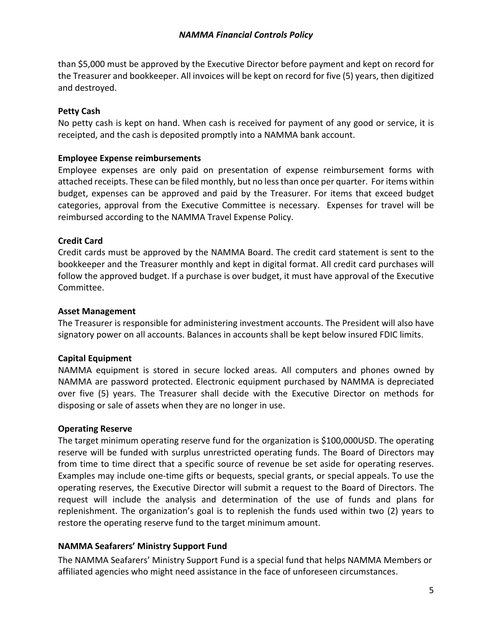# *NAMMA Financial Controls Policy*

than \$5,000 must be approved by the Executive Director before payment and kept on record for the Treasurer and bookkeeper. All invoices will be kept on record for five (5) years, then digitized and destroyed.

# **Petty Cash**

No petty cash is kept on hand. When cash is received for payment of any good or service, it is receipted, and the cash is deposited promptly into a NAMMA bank account.

# **Employee Expense reimbursements**

Employee expenses are only paid on presentation of expense reimbursement forms with attached receipts. These can be filed monthly, but no less than once per quarter. For items within budget, expenses can be approved and paid by the Treasurer. For items that exceed budget categories, approval from the Executive Committee is necessary. Expenses for travel will be reimbursed according to the NAMMA Travel Expense Policy.

# **Credit Card**

Credit cards must be approved by the NAMMA Board. The credit card statement is sent to the bookkeeper and the Treasurer monthly and kept in digital format. All credit card purchases will follow the approved budget. If a purchase is over budget, it must have approval of the Executive Committee.

# **Asset Management**

The Treasurer is responsible for administering investment accounts. The President will also have signatory power on all accounts. Balances in accounts shall be kept below insured FDIC limits.

# **Capital Equipment**

NAMMA equipment is stored in secure locked areas. All computers and phones owned by NAMMA are password protected. Electronic equipment purchased by NAMMA is depreciated over five (5) years. The Treasurer shall decide with the Executive Director on methods for disposing or sale of assets when they are no longer in use.

### **Operating Reserve**

The target minimum operating reserve fund for the organization is \$100,000USD. The operating reserve will be funded with surplus unrestricted operating funds. The Board of Directors may from time to time direct that a specific source of revenue be set aside for operating reserves. Examples may include one-time gifts or bequests, special grants, or special appeals. To use the operating reserves, the Executive Director will submit a request to the Board of Directors. The request will include the analysis and determination of the use of funds and plans for replenishment. The organization's goal is to replenish the funds used within two (2) years to restore the operating reserve fund to the target minimum amount.

# **NAMMA Seafarers' Ministry Support Fund**

The NAMMA Seafarers' Ministry Support Fund is a special fund that helps NAMMA Members or affiliated agencies who might need assistance in the face of unforeseen circumstances.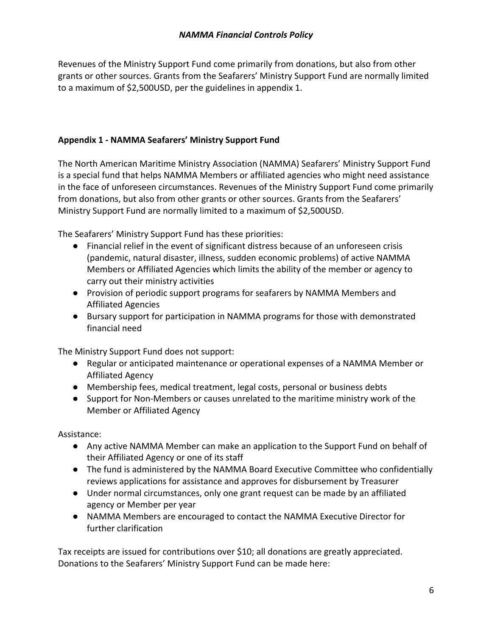Revenues of the Ministry Support Fund come primarily from donations, but also from other grants or other sources. Grants from the Seafarers' Ministry Support Fund are normally limited to a maximum of \$2,500USD, per the guidelines in appendix 1.

# **Appendix 1 - NAMMA Seafarers' Ministry Support Fund**

The North American Maritime Ministry Association (NAMMA) Seafarers' Ministry Support Fund is a special fund that helps NAMMA Members or affiliated agencies who might need assistance in the face of unforeseen circumstances. Revenues of the Ministry Support Fund come primarily from donations, but also from other grants or other sources. Grants from the Seafarers' Ministry Support Fund are normally limited to a maximum of \$2,500USD.

The Seafarers' Ministry Support Fund has these priorities:

- Financial relief in the event of significant distress because of an unforeseen crisis (pandemic, natural disaster, illness, sudden economic problems) of active NAMMA Members or Affiliated Agencies which limits the ability of the member or agency to carry out their ministry activities
- Provision of periodic support programs for seafarers by NAMMA Members and Affiliated Agencies
- Bursary support for participation in NAMMA programs for those with demonstrated financial need

The Ministry Support Fund does not support:

- Regular or anticipated maintenance or operational expenses of a NAMMA Member or Affiliated Agency
- Membership fees, medical treatment, legal costs, personal or business debts
- Support for Non-Members or causes unrelated to the maritime ministry work of the Member or Affiliated Agency

Assistance:

- Any active NAMMA Member can make an application to the Support Fund on behalf of their Affiliated Agency or one of its staff
- The fund is administered by the NAMMA Board Executive Committee who confidentially reviews applications for assistance and approves for disbursement by Treasurer
- Under normal circumstances, only one grant request can be made by an affiliated agency or Member per year
- NAMMA Members are encouraged to contact the NAMMA Executive Director for further clarification

Tax receipts are issued for contributions over \$10; all donations are greatly appreciated. Donations to the Seafarers' Ministry Support Fund can be made here: